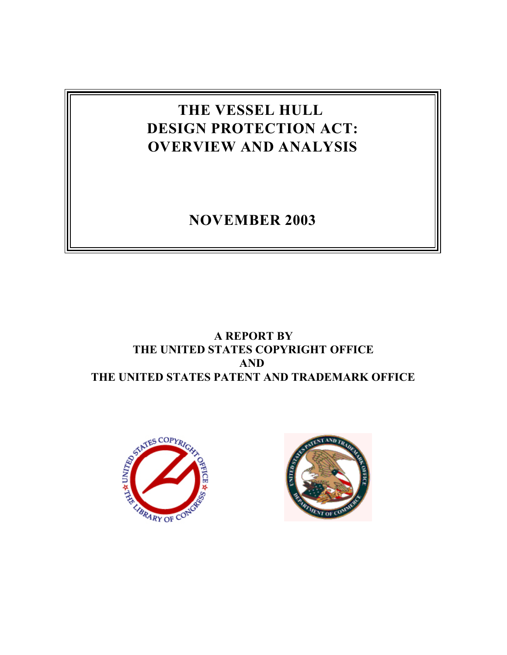# **THE VESSEL HULL DESIGN PROTECTION ACT: OVERVIEW AND ANALYSIS**

## **NOVEMBER 2003**

## **A REPORT BY THE UNITED STATES COPYRIGHT OFFICE AND THE UNITED STATES PATENT AND TRADEMARK OFFICE**



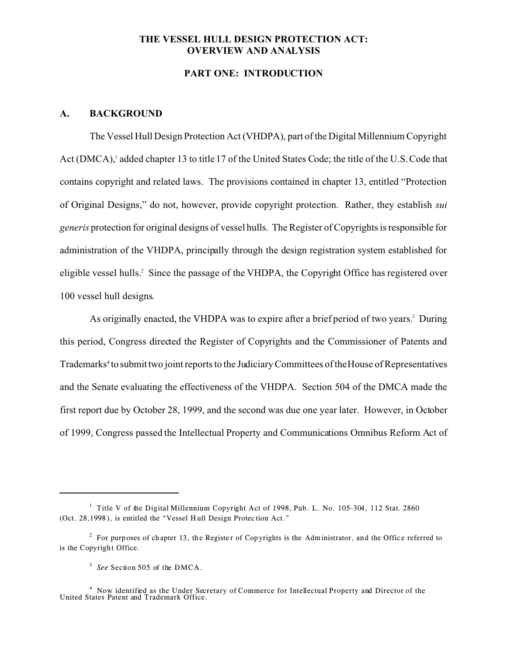#### **THE VESSEL HULL DESIGN PROTECTION ACT: OVERVIEW AND ANALYSIS**

## **PART ONE: INTRODUCTION**

#### **A. BACKGROUND**

The Vessel Hull Design Protection Act (VHDPA), part of the Digital Millennium Copyright Act (DMCA),<sup>1</sup> added chapter 13 to title 17 of the United States Code; the title of the U.S. Code that contains copyright and related laws. The provisions contained in chapter 13, entitled "Protection of Original Designs," do not, however, provide copyright protection. Rather, they establish *sui generis* protection for original designs of vessel hulls. The Register of Copyrights is responsible for administration of the VHDPA, principally through the design registration system established for eligible vessel hulls.<sup>2</sup> Since the passage of the VHDPA, the Copyright Office has registered over 100 vessel hull designs.

As originally enacted, the VHDPA was to expire after a brief period of two years.<sup>3</sup> During this period, Congress directed the Register of Copyrights and the Commissioner of Patents and Trademarks<sup>4</sup> to submit two joint reports to the Judiciary Committees of the House of Representatives and the Senate evaluating the effectiveness of the VHDPA. Section 504 of the DMCA made the first report due by October 28, 1999, and the second was due one year later. However, in October of 1999, Congress passed the Intellectual Property and Communications Omnibus Reform Act of

<sup>&</sup>lt;sup>1</sup> Title V of the Digital Millennium Copyright Act of 1998, Pub. L. No. 105-304, 112 Stat. 2860 (Oct. 28,1998 ), is entitled the "Vessel H ull Design Protec tion Act."

<sup>&</sup>lt;sup>2</sup> For purp oses of chapter 13, the Register of Copyrights is the Administrator, and the Office referred to is the Copyright Office.

<sup>&</sup>lt;sup>3</sup> See Section 505 of the DMCA.

<sup>4</sup> Now identified as the Under Secretary of Commerce for Intellectual Property and Director of the United States Patent and Trademark Office.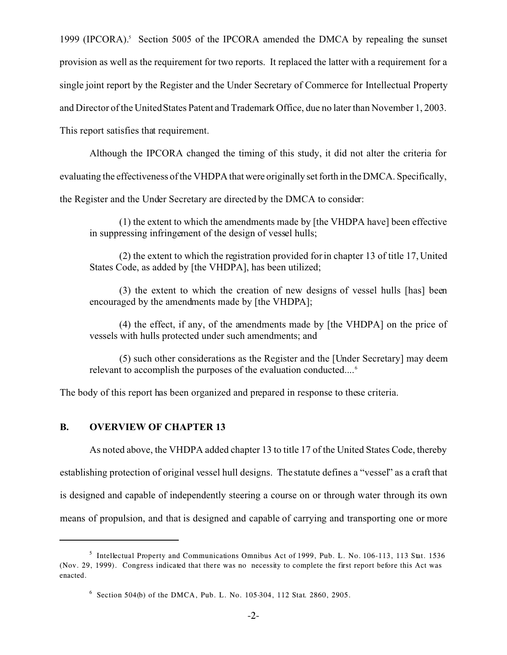1999 (IPCORA).<sup>5</sup> Section 5005 of the IPCORA amended the DMCA by repealing the sunset provision as well as the requirement for two reports. It replaced the latter with a requirement for a single joint report by the Register and the Under Secretary of Commerce for Intellectual Property and Director of the United States Patent and Trademark Office, due no later than November 1, 2003. This report satisfies that requirement.

Although the IPCORA changed the timing of this study, it did not alter the criteria for evaluating the effectiveness of the VHDPA that were originally set forth in the DMCA. Specifically, the Register and the Under Secretary are directed by the DMCA to consider:

(1) the extent to which the amendments made by [the VHDPA have] been effective in suppressing infringement of the design of vessel hulls;

(2) the extent to which the registration provided for in chapter 13 of title 17, United States Code, as added by [the VHDPA], has been utilized;

(3) the extent to which the creation of new designs of vessel hulls [has] been encouraged by the amendments made by [the VHDPA];

(4) the effect, if any, of the amendments made by [the VHDPA] on the price of vessels with hulls protected under such amendments; and

(5) such other considerations as the Register and the [Under Secretary] may deem relevant to accomplish the purposes of the evaluation conducted....<sup>6</sup>

The body of this report has been organized and prepared in response to these criteria.

## **B. OVERVIEW OF CHAPTER 13**

As noted above, the VHDPA added chapter 13 to title 17 of the United States Code, thereby establishing protection of original vessel hull designs. The statute defines a "vessel" as a craft that is designed and capable of independently steering a course on or through water through its own means of propulsion, and that is designed and capable of carrying and transporting one or more

<sup>&</sup>lt;sup>5</sup> Intellectual Property and Communications Omnibus Act of 1999, Pub. L. No. 106-113, 113 Stat. 1536 (Nov. 29, 1999). Congress indicated that there was no necessity to complete the first report before this Act was enacted.

<sup>6</sup> Section 504(b) of the DMCA, Pub. L. No. 105-304, 112 Stat. 2860, 2905.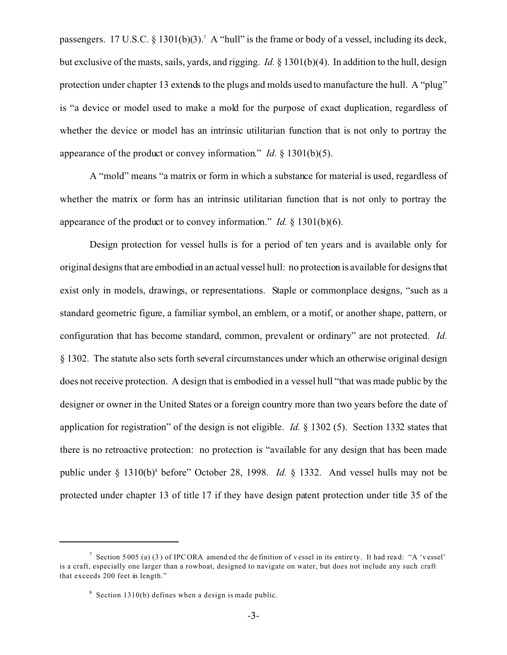passengers. 17 U.S.C. § 1301(b)(3).<sup>7</sup> A "hull" is the frame or body of a vessel, including its deck, but exclusive of the masts, sails, yards, and rigging. *Id.* § 1301(b)(4). In addition to the hull, design protection under chapter 13 extends to the plugs and molds used to manufacture the hull. A "plug" is "a device or model used to make a mold for the purpose of exact duplication, regardless of whether the device or model has an intrinsic utilitarian function that is not only to portray the appearance of the product or convey information." *Id.* § 1301(b)(5).

A "mold" means "a matrix or form in which a substance for material is used, regardless of whether the matrix or form has an intrinsic utilitarian function that is not only to portray the appearance of the product or to convey information." *Id.* § 1301(b)(6).

Design protection for vessel hulls is for a period of ten years and is available only for original designs that are embodied in an actual vessel hull: no protection is available for designs that exist only in models, drawings, or representations. Staple or commonplace designs, "such as a standard geometric figure, a familiar symbol, an emblem, or a motif, or another shape, pattern, or configuration that has become standard, common, prevalent or ordinary" are not protected. *Id.* § 1302. The statute also sets forth several circumstances under which an otherwise original design does not receive protection. A design that is embodied in a vessel hull "that was made public by the designer or owner in the United States or a foreign country more than two years before the date of application for registration" of the design is not eligible. *Id.* § 1302 (5). Section 1332 states that there is no retroactive protection: no protection is "available for any design that has been made public under § 1310(b)<sup>8</sup> before" October 28, 1998. *Id.* § 1332. And vessel hulls may not be protected under chapter 13 of title 17 if they have design patent protection under title 35 of the

<sup>&</sup>lt;sup>7</sup> Section 5005 (a) (3) of IPC ORA amended the definition of vessel in its entire ty. It had read: "A 'vessel' is a craft, especially one larger than a rowboat, designed to navigate on water, but does not include any such craft that exceeds 200 feet in length."

 $8$  Section 1310(b) defines when a design is made public.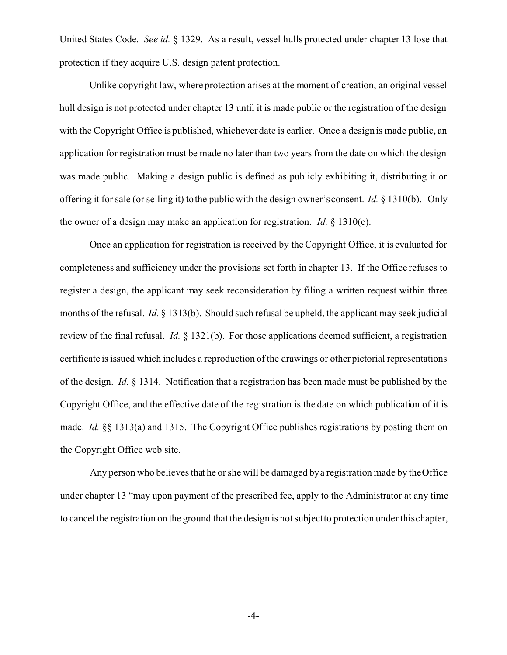United States Code. *See id.* § 1329. As a result, vessel hulls protected under chapter 13 lose that protection if they acquire U.S. design patent protection.

Unlike copyright law, where protection arises at the moment of creation, an original vessel hull design is not protected under chapter 13 until it is made public or the registration of the design with the Copyright Office is published, whichever date is earlier. Once a design is made public, an application for registration must be made no later than two years from the date on which the design was made public. Making a design public is defined as publicly exhibiting it, distributing it or offering it for sale (or selling it) to the public with the design owner's consent. *Id.* § 1310(b). Only the owner of a design may make an application for registration. *Id.* § 1310(c).

Once an application for registration is received by the Copyright Office, it is evaluated for completeness and sufficiency under the provisions set forth in chapter 13. If the Office refuses to register a design, the applicant may seek reconsideration by filing a written request within three months of the refusal. *Id.* § 1313(b). Should such refusal be upheld, the applicant may seek judicial review of the final refusal. *Id.* § 1321(b). For those applications deemed sufficient, a registration certificate is issued which includes a reproduction of the drawings or other pictorial representations of the design. *Id.* § 1314. Notification that a registration has been made must be published by the Copyright Office, and the effective date of the registration is the date on which publication of it is made. *Id.* §§ 1313(a) and 1315. The Copyright Office publishes registrations by posting them on the Copyright Office web site.

Any person who believes that he or she will be damaged by a registration made by the Office under chapter 13 "may upon payment of the prescribed fee, apply to the Administrator at any time to cancel the registration on the ground that the design is not subject to protection under this chapter,

-4-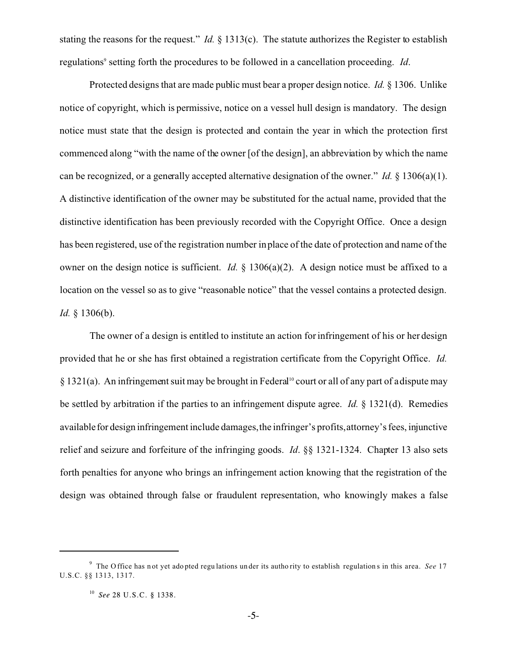stating the reasons for the request." *Id.* § 1313(c). The statute authorizes the Register to establish regulations<sup>9</sup> setting forth the procedures to be followed in a cancellation proceeding. *Id*.

Protected designs that are made public must bear a proper design notice. *Id.* § 1306. Unlike notice of copyright, which is permissive, notice on a vessel hull design is mandatory. The design notice must state that the design is protected and contain the year in which the protection first commenced along "with the name of the owner [of the design], an abbreviation by which the name can be recognized, or a generally accepted alternative designation of the owner." *Id.* § 1306(a)(1). A distinctive identification of the owner may be substituted for the actual name, provided that the distinctive identification has been previously recorded with the Copyright Office. Once a design has been registered, use of the registration number in place of the date of protection and name of the owner on the design notice is sufficient. *Id.* § 1306(a)(2). A design notice must be affixed to a location on the vessel so as to give "reasonable notice" that the vessel contains a protected design. *Id.* § 1306(b).

The owner of a design is entitled to institute an action for infringement of his or her design provided that he or she has first obtained a registration certificate from the Copyright Office. *Id.*  $\S 1321(a)$ . An infringement suit may be brought in Federal<sup>10</sup> court or all of any part of a dispute may be settled by arbitration if the parties to an infringement dispute agree. *Id.* § 1321(d). Remedies available for design infringement include damages, the infringer's profits, attorney's fees, injunctive relief and seizure and forfeiture of the infringing goods. *Id*. §§ 1321-1324. Chapter 13 also sets forth penalties for anyone who brings an infringement action knowing that the registration of the design was obtained through false or fraudulent representation, who knowingly makes a false

<sup>9</sup> The O ffice has n ot yet ado pted regu lations un der its autho rity to establish regulation s in this area. *See* 17 U.S.C. §§ 1313, 1317.

<sup>10</sup> *See* 28 U.S.C. § 1338.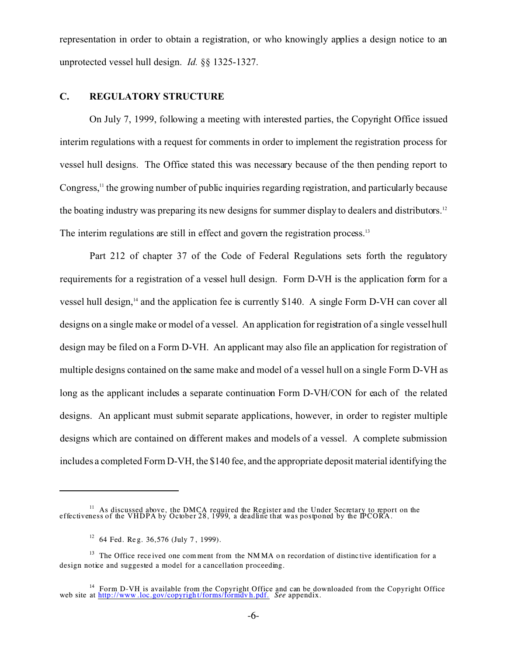representation in order to obtain a registration, or who knowingly applies a design notice to an unprotected vessel hull design. *Id.* §§ 1325-1327.

## **C. REGULATORY STRUCTURE**

On July 7, 1999, following a meeting with interested parties, the Copyright Office issued interim regulations with a request for comments in order to implement the registration process for vessel hull designs. The Office stated this was necessary because of the then pending report to Congress, $\frac{11}{11}$  the growing number of public inquiries regarding registration, and particularly because the boating industry was preparing its new designs for summer display to dealers and distributors.<sup>12</sup> The interim regulations are still in effect and govern the registration process.<sup>13</sup>

Part 212 of chapter 37 of the Code of Federal Regulations sets forth the regulatory requirements for a registration of a vessel hull design. Form D-VH is the application form for a vessel hull design,<sup>14</sup> and the application fee is currently \$140. A single Form D-VH can cover all designs on a single make or model of a vessel. An application for registration of a single vessel hull design may be filed on a Form D-VH. An applicant may also file an application for registration of multiple designs contained on the same make and model of a vessel hull on a single Form D-VH as long as the applicant includes a separate continuation Form D-VH/CON for each of the related designs. An applicant must submit separate applications, however, in order to register multiple designs which are contained on different makes and models of a vessel. A complete submission includes a completed Form D-VH, the \$140 fee, and the appropriate deposit material identifying the

<sup>&</sup>lt;sup>11</sup> As discussed above, the DMCA required the Register and the Under Secretary to report on the effectiveness of the VHDPA by October 28, 1999, a deadline that was postponed by the IPCORA.

 $12$  64 Fed. Reg. 36,576 (July 7, 1999).

<sup>&</sup>lt;sup>13</sup> The Office received one comment from the NMMA on recordation of distinc tive identification for a design notice and suggested a model for a cancellation proceeding.

<sup>&</sup>lt;sup>14</sup> Form D-VH is available from the Copyright Office and can be downloaded from the Copyright Office web site at http://www .loc.gov/copyrigh t/forms/formdv h.pdf. *See* appendix.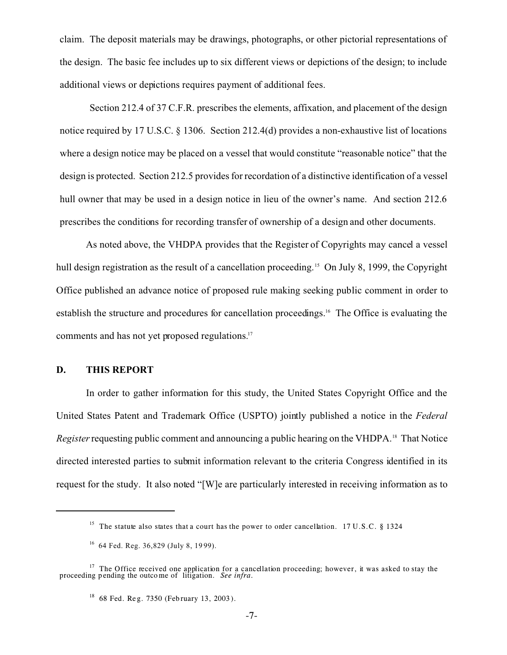claim. The deposit materials may be drawings, photographs, or other pictorial representations of the design. The basic fee includes up to six different views or depictions of the design; to include additional views or depictions requires payment of additional fees.

Section 212.4 of 37 C.F.R. prescribes the elements, affixation, and placement of the design notice required by 17 U.S.C. § 1306. Section 212.4(d) provides a non-exhaustive list of locations where a design notice may be placed on a vessel that would constitute "reasonable notice" that the design is protected. Section 212.5 provides for recordation of a distinctive identification of a vessel hull owner that may be used in a design notice in lieu of the owner's name. And section 212.6 prescribes the conditions for recording transfer of ownership of a design and other documents.

As noted above, the VHDPA provides that the Register of Copyrights may cancel a vessel hull design registration as the result of a cancellation proceeding.<sup>15</sup> On July 8, 1999, the Copyright Office published an advance notice of proposed rule making seeking public comment in order to establish the structure and procedures for cancellation proceedings.16 The Office is evaluating the comments and has not yet proposed regulations.<sup>17</sup>

## **D. THIS REPORT**

In order to gather information for this study, the United States Copyright Office and the United States Patent and Trademark Office (USPTO) jointly published a notice in the *Federal Register* requesting public comment and announcing a public hearing on the VHDPA.<sup>18</sup> That Notice directed interested parties to submit information relevant to the criteria Congress identified in its request for the study. It also noted "[W]e are particularly interested in receiving information as to

<sup>&</sup>lt;sup>15</sup> The statute also states that a court has the power to order cancellation. 17 U.S.C. § 1324

 $16$  64 Fed. Reg. 36,829 (July 8, 1999).

<sup>&</sup>lt;sup>17</sup> The Office received one application for a cancellation proceeding; however, it was asked to stay the proceeding pending the outcome of litigation. *See infra*.

 $18$  68 Fed. Reg. 7350 (Feb ruary 13, 2003).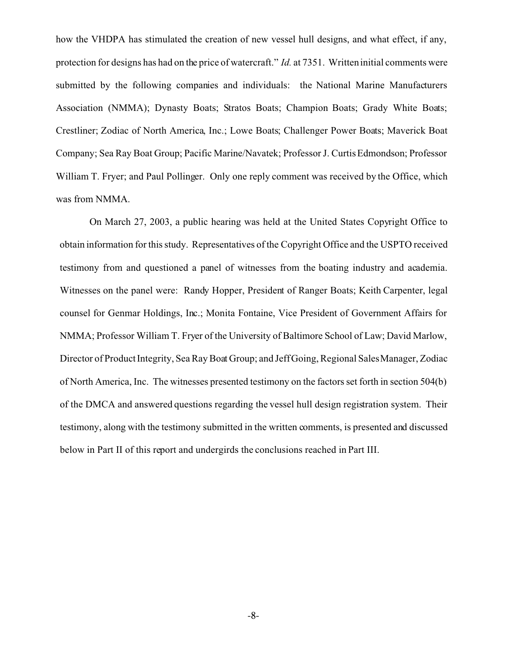how the VHDPA has stimulated the creation of new vessel hull designs, and what effect, if any, protection for designs has had on the price of watercraft." *Id.* at 7351. Written initial comments were submitted by the following companies and individuals: the National Marine Manufacturers Association (NMMA); Dynasty Boats; Stratos Boats; Champion Boats; Grady White Boats; Crestliner; Zodiac of North America, Inc.; Lowe Boats; Challenger Power Boats; Maverick Boat Company; Sea Ray Boat Group; Pacific Marine/Navatek; Professor J. Curtis Edmondson; Professor William T. Fryer; and Paul Pollinger. Only one reply comment was received by the Office, which was from NMMA.

On March 27, 2003, a public hearing was held at the United States Copyright Office to obtain information for this study. Representatives of the Copyright Office and the USPTO received testimony from and questioned a panel of witnesses from the boating industry and academia. Witnesses on the panel were: Randy Hopper, President of Ranger Boats; Keith Carpenter, legal counsel for Genmar Holdings, Inc.; Monita Fontaine, Vice President of Government Affairs for NMMA; Professor William T. Fryer of the University of Baltimore School of Law; David Marlow, Director of Product Integrity, Sea Ray Boat Group; and Jeff Going, Regional Sales Manager, Zodiac of North America, Inc. The witnesses presented testimony on the factors set forth in section 504(b) of the DMCA and answered questions regarding the vessel hull design registration system. Their testimony, along with the testimony submitted in the written comments, is presented and discussed below in Part II of this report and undergirds the conclusions reached in Part III.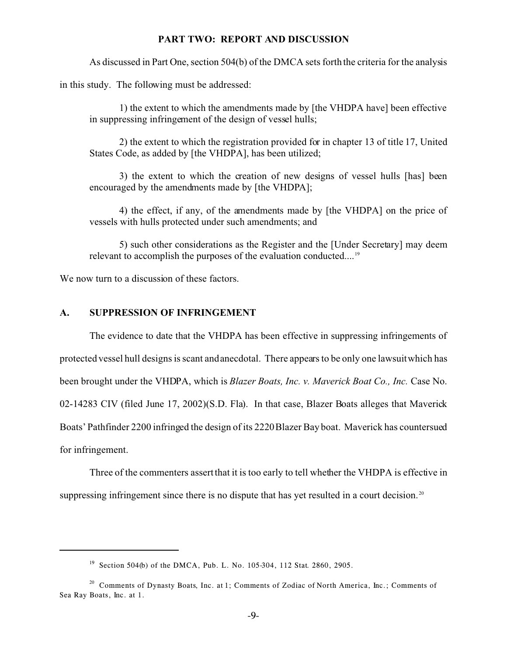#### **PART TWO: REPORT AND DISCUSSION**

As discussed in Part One, section 504(b) of the DMCA sets forth the criteria for the analysis

in this study. The following must be addressed:

1) the extent to which the amendments made by [the VHDPA have] been effective in suppressing infringement of the design of vessel hulls;

2) the extent to which the registration provided for in chapter 13 of title 17, United States Code, as added by [the VHDPA], has been utilized;

3) the extent to which the creation of new designs of vessel hulls [has] been encouraged by the amendments made by [the VHDPA];

4) the effect, if any, of the amendments made by [the VHDPA] on the price of vessels with hulls protected under such amendments; and

5) such other considerations as the Register and the [Under Secretary] may deem relevant to accomplish the purposes of the evaluation conducted....<sup>19</sup>

We now turn to a discussion of these factors.

#### **A. SUPPRESSION OF INFRINGEMENT**

The evidence to date that the VHDPA has been effective in suppressing infringements of protected vessel hull designs is scant and anecdotal. There appears to be only one lawsuit which has been brought under the VHDPA, which is *Blazer Boats, Inc. v. Maverick Boat Co., Inc.* Case No. 02-14283 CIV (filed June 17, 2002)(S.D. Fla). In that case, Blazer Boats alleges that Maverick Boats' Pathfinder 2200 infringed the design of its 2220 Blazer Bay boat. Maverick has countersued for infringement.

Three of the commenters assert that it is too early to tell whether the VHDPA is effective in suppressing infringement since there is no dispute that has yet resulted in a court decision.<sup>20</sup>

<sup>&</sup>lt;sup>19</sup> Section 504(b) of the DMCA, Pub. L. No. 105-304, 112 Stat. 2860, 2905.

<sup>&</sup>lt;sup>20</sup> Comments of Dynasty Boats, Inc. at 1; Comments of Zodiac of North America, Inc.; Comments of Sea Ray Boats, Inc. at 1.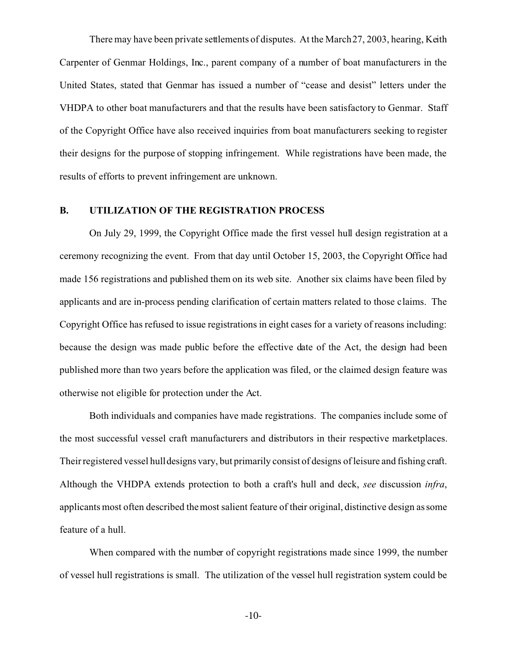There may have been private settlements of disputes. At the March 27, 2003, hearing, Keith Carpenter of Genmar Holdings, Inc., parent company of a number of boat manufacturers in the United States, stated that Genmar has issued a number of "cease and desist" letters under the VHDPA to other boat manufacturers and that the results have been satisfactory to Genmar. Staff of the Copyright Office have also received inquiries from boat manufacturers seeking to register their designs for the purpose of stopping infringement. While registrations have been made, the results of efforts to prevent infringement are unknown.

### **B. UTILIZATION OF THE REGISTRATION PROCESS**

On July 29, 1999, the Copyright Office made the first vessel hull design registration at a ceremony recognizing the event. From that day until October 15, 2003, the Copyright Office had made 156 registrations and published them on its web site. Another six claims have been filed by applicants and are in-process pending clarification of certain matters related to those claims. The Copyright Office has refused to issue registrations in eight cases for a variety of reasons including: because the design was made public before the effective date of the Act, the design had been published more than two years before the application was filed, or the claimed design feature was otherwise not eligible for protection under the Act.

Both individuals and companies have made registrations. The companies include some of the most successful vessel craft manufacturers and distributors in their respective marketplaces. Their registered vessel hull designs vary, but primarily consist of designs of leisure and fishing craft. Although the VHDPA extends protection to both a craft's hull and deck, *see* discussion *infra*, applicants most often described the most salient feature of their original, distinctive design as some feature of a hull.

When compared with the number of copyright registrations made since 1999, the number of vessel hull registrations is small. The utilization of the vessel hull registration system could be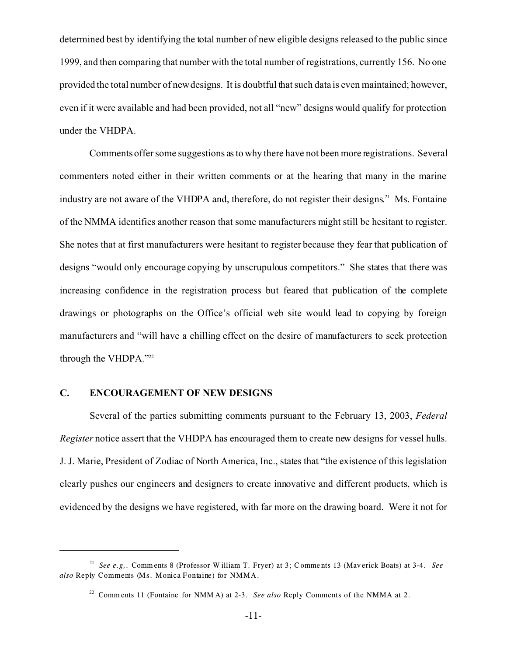determined best by identifying the total number of new eligible designs released to the public since 1999, and then comparing that number with the total number of registrations, currently 156. No one provided the total number of new designs. It is doubtful that such data is even maintained; however, even if it were available and had been provided, not all "new" designs would qualify for protection under the VHDPA.

Comments offer some suggestions as to why there have not been more registrations. Several commenters noted either in their written comments or at the hearing that many in the marine industry are not aware of the VHDPA and, therefore, do not register their designs.<sup>21</sup> Ms. Fontaine of the NMMA identifies another reason that some manufacturers might still be hesitant to register. She notes that at first manufacturers were hesitant to register because they fear that publication of designs "would only encourage copying by unscrupulous competitors." She states that there was increasing confidence in the registration process but feared that publication of the complete drawings or photographs on the Office's official web site would lead to copying by foreign manufacturers and "will have a chilling effect on the desire of manufacturers to seek protection through the VHDPA."<sup>22</sup>

## **C. ENCOURAGEMENT OF NEW DESIGNS**

Several of the parties submitting comments pursuant to the February 13, 2003, *Federal Register* notice assert that the VHDPA has encouraged them to create new designs for vessel hulls. J. J. Marie, President of Zodiac of North America, Inc., states that "the existence of this legislation clearly pushes our engineers and designers to create innovative and different products, which is evidenced by the designs we have registered, with far more on the drawing board. Were it not for

<sup>21</sup> *See e.g,.* Comm ents 8 (Professor W illiam T. Fryer) at 3; Comme nts 13 (Mav erick Boats) at 3-4. *See also* Reply Comments (Ms. Monica Fontaine) for NMMA.

<sup>22</sup> Comm ents 11 (Fontaine for NMM A) at 2-3. *See also* Reply Comments of the NMMA at 2.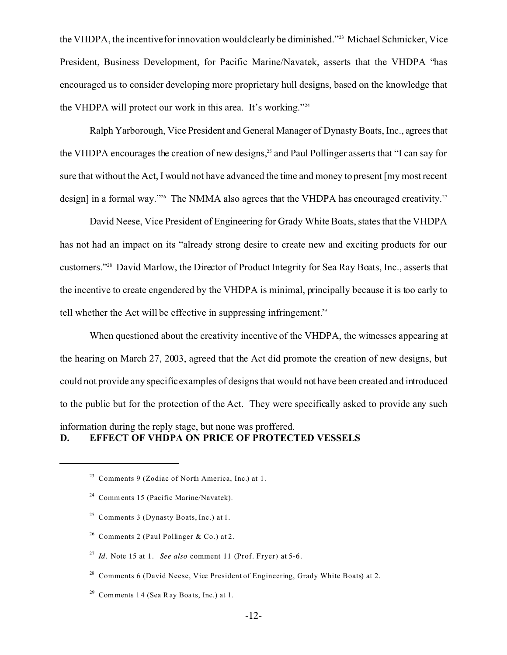the VHDPA, the incentive for innovation would clearly be diminished."23 Michael Schmicker, Vice President, Business Development, for Pacific Marine/Navatek, asserts that the VHDPA "has encouraged us to consider developing more proprietary hull designs, based on the knowledge that the VHDPA will protect our work in this area. It's working."<sup>24</sup>

Ralph Yarborough, Vice President and General Manager of Dynasty Boats, Inc., agrees that the VHDPA encourages the creation of new designs,<sup>25</sup> and Paul Pollinger asserts that "I can say for sure that without the Act, I would not have advanced the time and money to present [my most recent design] in a formal way."<sup>26</sup> The NMMA also agrees that the VHDPA has encouraged creativity.<sup>27</sup>

David Neese, Vice President of Engineering for Grady White Boats, states that the VHDPA has not had an impact on its "already strong desire to create new and exciting products for our customers."28 David Marlow, the Director of Product Integrity for Sea Ray Boats, Inc., asserts that the incentive to create engendered by the VHDPA is minimal, principally because it is too early to tell whether the Act will be effective in suppressing infringement.<sup>29</sup>

When questioned about the creativity incentive of the VHDPA, the witnesses appearing at the hearing on March 27, 2003, agreed that the Act did promote the creation of new designs, but could not provide any specific examples of designs that would not have been created and introduced to the public but for the protection of the Act. They were specifically asked to provide any such information during the reply stage, but none was proffered. **D. EFFECT OF VHDPA ON PRICE OF PROTECTED VESSELS**

- <sup>25</sup> Comments 3 (Dynasty Boats, Inc.) at 1.
- <sup>26</sup> Comments 2 (Paul Pollinger & Co.) at 2.
- 27 *Id.* Note 15 at 1. *See also* comment 11 (Prof. Fryer) at 5-6.

 $28$  Comments 6 (David Neese, Vice President of Engineering, Grady White Boats) at 2.

<sup>29</sup> Comments 14 (Sea R ay Boats, Inc.) at 1.

<sup>23</sup> Comments 9 (Zodiac of North America, Inc.) at 1.

<sup>24</sup> Comm ents 15 (Pacific Marine/Navatek).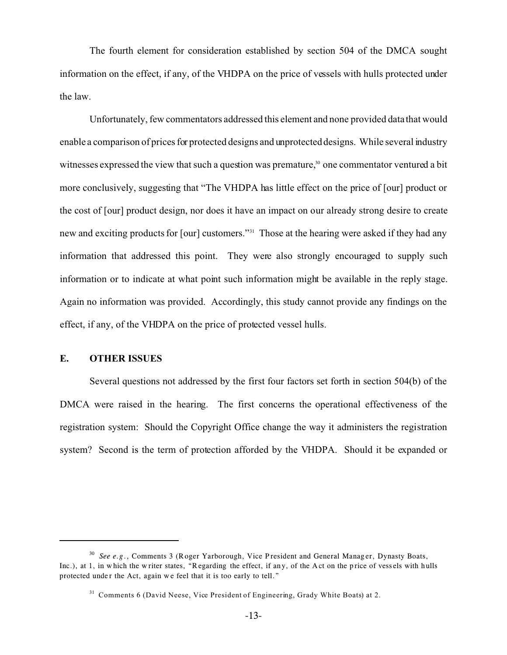The fourth element for consideration established by section 504 of the DMCA sought information on the effect, if any, of the VHDPA on the price of vessels with hulls protected under the law.

Unfortunately, few commentators addressed this element and none provided data that would enable a comparison of prices for protected designs and unprotected designs. While several industry witnesses expressed the view that such a question was premature,<sup>30</sup> one commentator ventured a bit more conclusively, suggesting that "The VHDPA has little effect on the price of [our] product or the cost of [our] product design, nor does it have an impact on our already strong desire to create new and exciting products for [our] customers."<sup>31</sup> Those at the hearing were asked if they had any information that addressed this point. They were also strongly encouraged to supply such information or to indicate at what point such information might be available in the reply stage. Again no information was provided. Accordingly, this study cannot provide any findings on the effect, if any, of the VHDPA on the price of protected vessel hulls.

### **E. OTHER ISSUES**

Several questions not addressed by the first four factors set forth in section 504(b) of the DMCA were raised in the hearing. The first concerns the operational effectiveness of the registration system: Should the Copyright Office change the way it administers the registration system? Second is the term of protection afforded by the VHDPA. Should it be expanded or

<sup>&</sup>lt;sup>30</sup> See e.g., Comments 3 (Roger Yarborough, Vice President and General Manager, Dynasty Boats, Inc.), at 1, in which the w riter states, "Regarding the effect, if any, of the Act on the price of vessels with hulls protected under the Act, again we feel that it is too early to tell."

<sup>&</sup>lt;sup>31</sup> Comments 6 (David Neese, Vice President of Engineering, Grady White Boats) at 2.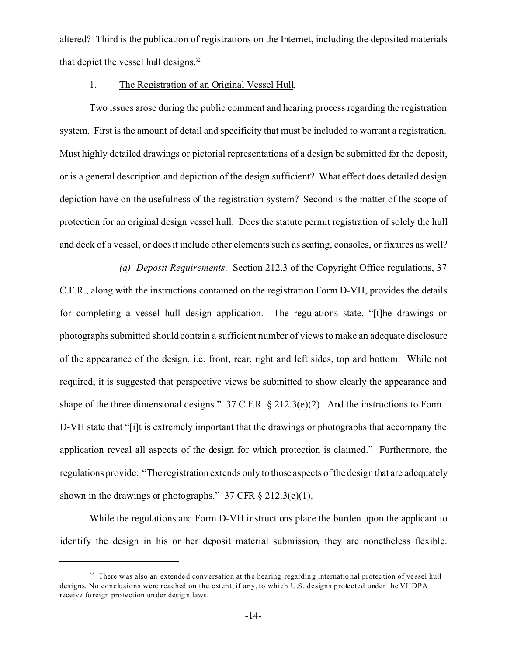altered? Third is the publication of registrations on the Internet, including the deposited materials that depict the vessel hull designs.<sup>32</sup>

#### 1. The Registration of an Original Vessel Hull.

Two issues arose during the public comment and hearing process regarding the registration system. First is the amount of detail and specificity that must be included to warrant a registration. Must highly detailed drawings or pictorial representations of a design be submitted for the deposit, or is a general description and depiction of the design sufficient? What effect does detailed design depiction have on the usefulness of the registration system? Second is the matter of the scope of protection for an original design vessel hull. Does the statute permit registration of solely the hull and deck of a vessel, or does it include other elements such as seating, consoles, or fixtures as well?

*(a) Deposit Requirements*. Section 212.3 of the Copyright Office regulations, 37 C.F.R., along with the instructions contained on the registration Form D-VH, provides the details for completing a vessel hull design application. The regulations state, "[t]he drawings or photographs submitted should contain a sufficient number of views to make an adequate disclosure of the appearance of the design, i.e. front, rear, right and left sides, top and bottom. While not required, it is suggested that perspective views be submitted to show clearly the appearance and shape of the three dimensional designs." 37 C.F.R. § 212.3(e)(2). And the instructions to Form D-VH state that "[i]t is extremely important that the drawings or photographs that accompany the application reveal all aspects of the design for which protection is claimed." Furthermore, the regulations provide: "The registration extends only to those aspects of the design that are adequately shown in the drawings or photographs." 37 CFR  $\S 212.3(e)(1)$ .

While the regulations and Form D-VH instructions place the burden upon the applicant to identify the design in his or her deposit material submission, they are nonetheless flexible.

 $32$  There w as also an extended conversation at the hearing regarding international protection of vessel hull designs. No conclusions were reached on the extent, if any, to which U.S. designs protected under the VHDPA receive fo reign pro tection under design laws.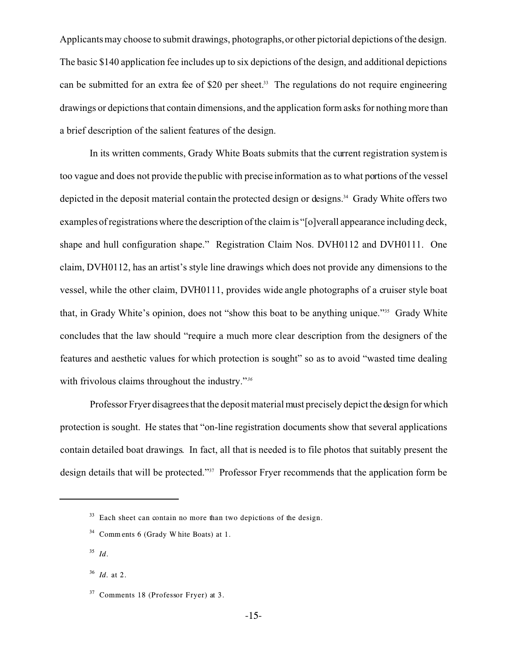Applicants may choose to submit drawings, photographs, or other pictorial depictions of the design. The basic \$140 application fee includes up to six depictions of the design, and additional depictions can be submitted for an extra fee of \$20 per sheet.<sup>33</sup> The regulations do not require engineering drawings or depictions that contain dimensions, and the application form asks for nothing more than a brief description of the salient features of the design.

In its written comments, Grady White Boats submits that the current registration system is too vague and does not provide the public with precise information as to what portions of the vessel depicted in the deposit material contain the protected design or designs.<sup>34</sup> Grady White offers two examples of registrations where the description of the claim is "[o]verall appearance including deck, shape and hull configuration shape." Registration Claim Nos. DVH0112 and DVH0111. One claim, DVH0112, has an artist's style line drawings which does not provide any dimensions to the vessel, while the other claim, DVH0111, provides wide angle photographs of a cruiser style boat that, in Grady White's opinion, does not "show this boat to be anything unique."35 Grady White concludes that the law should "require a much more clear description from the designers of the features and aesthetic values for which protection is sought" so as to avoid "wasted time dealing with frivolous claims throughout the industry."*<sup>36</sup>*

Professor Fryer disagrees that the deposit material must precisely depict the design for which protection is sought. He states that "on-line registration documents show that several applications contain detailed boat drawings. In fact, all that is needed is to file photos that suitably present the design details that will be protected."37 Professor Fryer recommends that the application form be

 $33$  Each sheet can contain no more than two depictions of the design.

<sup>34</sup> Comm ents 6 (Grady W hite Boats) at 1.

<sup>35</sup> *Id*.

<sup>36</sup> *Id.* at 2.

<sup>37</sup> Comments 18 (Professor Fryer) at 3.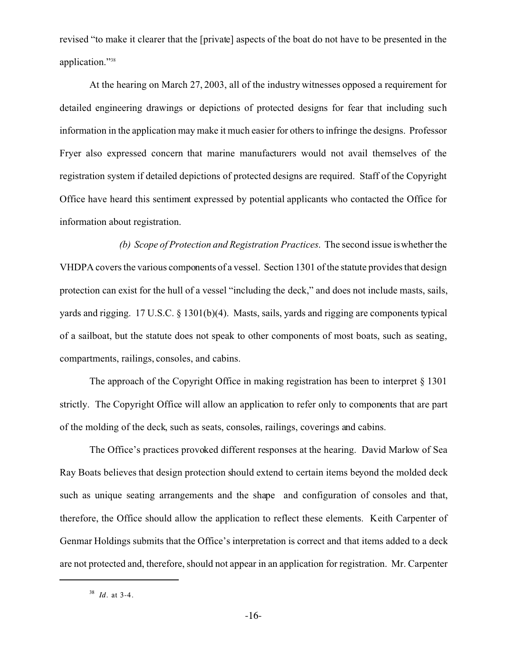revised "to make it clearer that the [private] aspects of the boat do not have to be presented in the application."<sup>38</sup>

At the hearing on March 27, 2003, all of the industry witnesses opposed a requirement for detailed engineering drawings or depictions of protected designs for fear that including such information in the application may make it much easier for others to infringe the designs. Professor Fryer also expressed concern that marine manufacturers would not avail themselves of the registration system if detailed depictions of protected designs are required. Staff of the Copyright Office have heard this sentiment expressed by potential applicants who contacted the Office for information about registration.

*(b) Scope of Protection and Registration Practices*. The second issue is whether the VHDPA covers the various components of a vessel. Section 1301 of the statute provides that design protection can exist for the hull of a vessel "including the deck," and does not include masts, sails, yards and rigging. 17 U.S.C. § 1301(b)(4). Masts, sails, yards and rigging are components typical of a sailboat, but the statute does not speak to other components of most boats, such as seating, compartments, railings, consoles, and cabins.

The approach of the Copyright Office in making registration has been to interpret § 1301 strictly. The Copyright Office will allow an application to refer only to components that are part of the molding of the deck, such as seats, consoles, railings, coverings and cabins.

The Office's practices provoked different responses at the hearing. David Marlow of Sea Ray Boats believes that design protection should extend to certain items beyond the molded deck such as unique seating arrangements and the shape and configuration of consoles and that, therefore, the Office should allow the application to reflect these elements. Keith Carpenter of Genmar Holdings submits that the Office's interpretation is correct and that items added to a deck are not protected and, therefore, should not appear in an application for registration. Mr. Carpenter

<sup>38</sup> *Id*. at 3-4.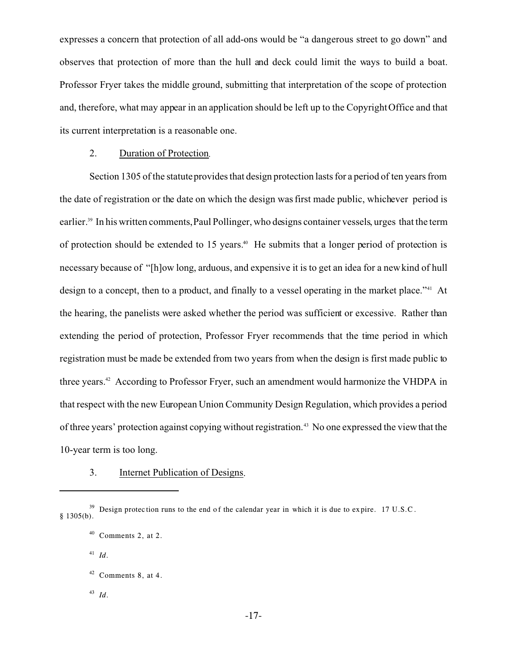expresses a concern that protection of all add-ons would be "a dangerous street to go down" and observes that protection of more than the hull and deck could limit the ways to build a boat. Professor Fryer takes the middle ground, submitting that interpretation of the scope of protection and, therefore, what may appear in an application should be left up to the Copyright Office and that its current interpretation is a reasonable one.

#### 2. Duration of Protection*.*

Section 1305 of the statute provides that design protection lasts for a period of ten years from the date of registration or the date on which the design was first made public, whichever period is earlier.39 In his written comments, Paul Pollinger, who designs container vessels, urges that the term of protection should be extended to 15 years.<sup>40</sup> He submits that a longer period of protection is necessary because of "[h]ow long, arduous, and expensive it is to get an idea for a new kind of hull design to a concept, then to a product, and finally to a vessel operating in the market place."<sup>41</sup> At the hearing, the panelists were asked whether the period was sufficient or excessive. Rather than extending the period of protection, Professor Fryer recommends that the time period in which registration must be made be extended from two years from when the design is first made public to three years.<sup>42</sup> According to Professor Fryer, such an amendment would harmonize the VHDPA in that respect with the new European Union Community Design Regulation, which provides a period of three years' protection against copying without registration.<sup>43</sup> No one expressed the view that the 10-year term is too long.

3. Internet Publication of Designs.

<sup>43</sup> *Id*.

 $39$  Design protec tion runs to the end of the calendar year in which it is due to expire. 17 U.S.C.  $§$  1305(b).

 $40$  Comments 2, at 2.

<sup>41</sup> *Id*.

 $42$  Comments 8, at 4.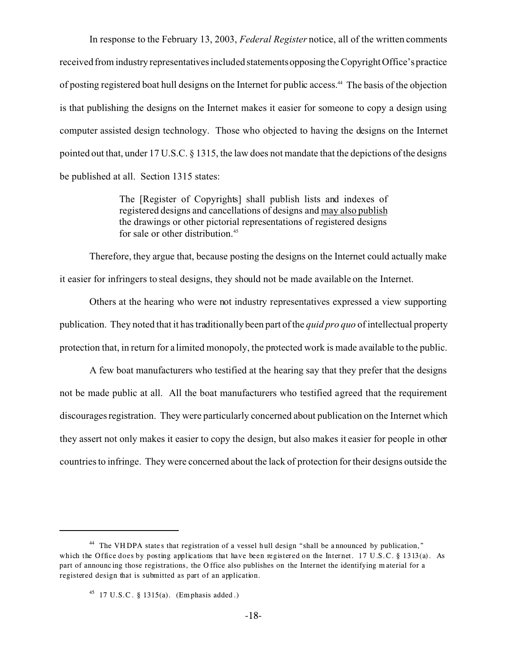In response to the February 13, 2003, *Federal Register* notice, all of the written comments received from industry representatives included statements opposing the Copyright Office's practice of posting registered boat hull designs on the Internet for public access.44 The basis of the objection is that publishing the designs on the Internet makes it easier for someone to copy a design using computer assisted design technology. Those who objected to having the designs on the Internet pointed out that, under 17 U.S.C. § 1315, the law does not mandate that the depictions of the designs be published at all. Section 1315 states:

> The [Register of Copyrights] shall publish lists and indexes of registered designs and cancellations of designs and may also publish the drawings or other pictorial representations of registered designs for sale or other distribution.<sup>45</sup>

Therefore, they argue that, because posting the designs on the Internet could actually make it easier for infringers to steal designs, they should not be made available on the Internet.

Others at the hearing who were not industry representatives expressed a view supporting publication. They noted that it has traditionally been part of the *quid pro quo* of intellectual property protection that, in return for a limited monopoly, the protected work is made available to the public.

A few boat manufacturers who testified at the hearing say that they prefer that the designs not be made public at all. All the boat manufacturers who testified agreed that the requirement discourages registration. They were particularly concerned about publication on the Internet which they assert not only makes it easier to copy the design, but also makes it easier for people in other countries to infringe. They were concerned about the lack of protection for their designs outside the

<sup>&</sup>lt;sup>44</sup> The VHDPA states that registration of a vessel hull design "shall be announced by publication," which the Office does by posting applications that have been registered on the Internet. 17 U.S.C. § 1313(a). As part of announc ing those registrations, the O ffice also publishes on the Internet the identifying m aterial for a registered design that is submitted as part of an application.

<sup>&</sup>lt;sup>45</sup> 17 U.S.C. § 1315(a). (Emphasis added.)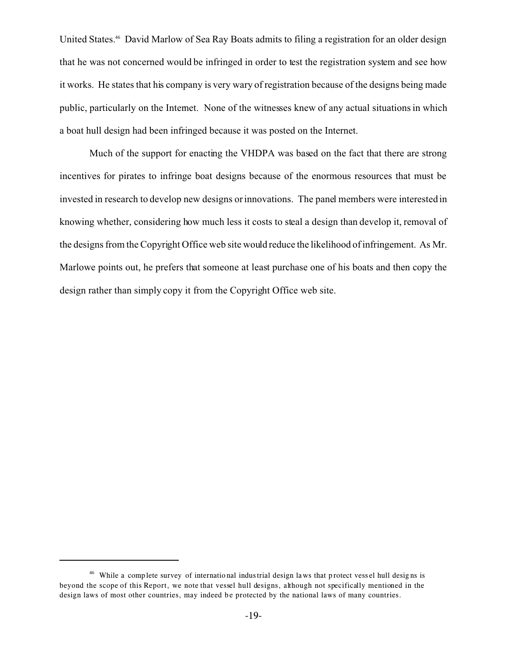United States.<sup>46</sup> David Marlow of Sea Ray Boats admits to filing a registration for an older design that he was not concerned would be infringed in order to test the registration system and see how it works. He states that his company is very wary of registration because of the designs being made public, particularly on the Internet. None of the witnesses knew of any actual situations in which a boat hull design had been infringed because it was posted on the Internet.

Much of the support for enacting the VHDPA was based on the fact that there are strong incentives for pirates to infringe boat designs because of the enormous resources that must be invested in research to develop new designs or innovations. The panel members were interested in knowing whether, considering how much less it costs to steal a design than develop it, removal of the designs from the Copyright Office web site would reduce the likelihood of infringement. As Mr. Marlowe points out, he prefers that someone at least purchase one of his boats and then copy the design rather than simply copy it from the Copyright Office web site.

<sup>&</sup>lt;sup>46</sup> While a complete survey of international industrial design laws that protect vessel hull designs is beyond the scope of this Report, we note that vessel hull designs, although not specifically mentioned in the design laws of most other countries, may indeed be protected by the national laws of many countries.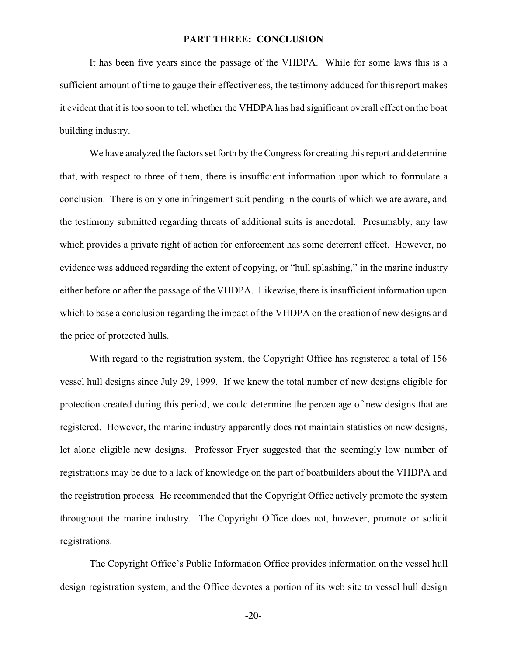#### **PART THREE: CONCLUSION**

It has been five years since the passage of the VHDPA. While for some laws this is a sufficient amount of time to gauge their effectiveness, the testimony adduced for this report makes it evident that it is too soon to tell whether the VHDPA has had significant overall effect on the boat building industry.

We have analyzed the factors set forth by the Congress for creating this report and determine that, with respect to three of them, there is insufficient information upon which to formulate a conclusion. There is only one infringement suit pending in the courts of which we are aware, and the testimony submitted regarding threats of additional suits is anecdotal. Presumably, any law which provides a private right of action for enforcement has some deterrent effect. However, no evidence was adduced regarding the extent of copying, or "hull splashing," in the marine industry either before or after the passage of the VHDPA. Likewise, there is insufficient information upon which to base a conclusion regarding the impact of the VHDPA on the creation of new designs and the price of protected hulls.

With regard to the registration system, the Copyright Office has registered a total of 156 vessel hull designs since July 29, 1999. If we knew the total number of new designs eligible for protection created during this period, we could determine the percentage of new designs that are registered. However, the marine industry apparently does not maintain statistics on new designs, let alone eligible new designs. Professor Fryer suggested that the seemingly low number of registrations may be due to a lack of knowledge on the part of boatbuilders about the VHDPA and the registration process. He recommended that the Copyright Office actively promote the system throughout the marine industry. The Copyright Office does not, however, promote or solicit registrations.

The Copyright Office's Public Information Office provides information on the vessel hull design registration system, and the Office devotes a portion of its web site to vessel hull design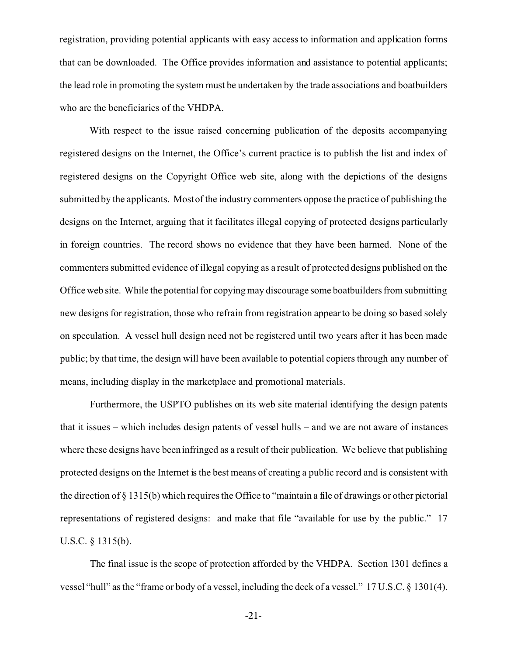registration, providing potential applicants with easy access to information and application forms that can be downloaded. The Office provides information and assistance to potential applicants; the lead role in promoting the system must be undertaken by the trade associations and boatbuilders who are the beneficiaries of the VHDPA.

With respect to the issue raised concerning publication of the deposits accompanying registered designs on the Internet, the Office's current practice is to publish the list and index of registered designs on the Copyright Office web site, along with the depictions of the designs submitted by the applicants. Most of the industry commenters oppose the practice of publishing the designs on the Internet, arguing that it facilitates illegal copying of protected designs particularly in foreign countries. The record shows no evidence that they have been harmed. None of the commenters submitted evidence of illegal copying as a result of protected designs published on the Office web site. While the potential for copying may discourage some boatbuilders from submitting new designs for registration, those who refrain from registration appear to be doing so based solely on speculation. A vessel hull design need not be registered until two years after it has been made public; by that time, the design will have been available to potential copiers through any number of means, including display in the marketplace and promotional materials.

Furthermore, the USPTO publishes on its web site material identifying the design patents that it issues – which includes design patents of vessel hulls – and we are not aware of instances where these designs have been infringed as a result of their publication. We believe that publishing protected designs on the Internet is the best means of creating a public record and is consistent with the direction of § 1315(b) which requires the Office to "maintain a file of drawings or other pictorial representations of registered designs: and make that file "available for use by the public." 17 U.S.C. § 1315(b).

The final issue is the scope of protection afforded by the VHDPA. Section 1301 defines a vessel "hull" as the "frame or body of a vessel, including the deck of a vessel." 17 U.S.C. § 1301(4).